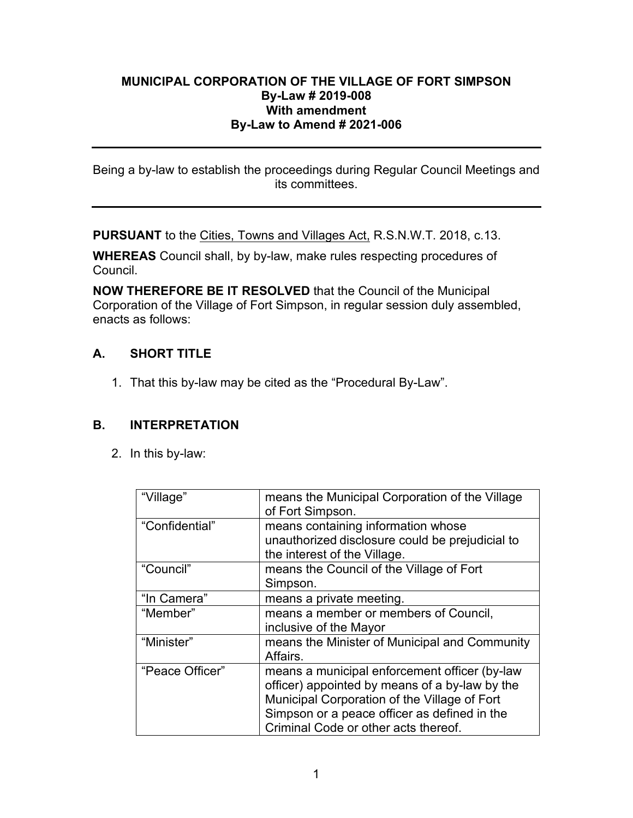## **MUNICIPAL CORPORATION OF THE VILLAGE OF FORT SIMPSON By-Law # 2019-008 With amendment By-Law to Amend # 2021-006**

Being a by-law to establish the proceedings during Regular Council Meetings and its committees.

**PURSUANT** to the Cities, Towns and Villages Act, R.S.N.W.T. 2018, c.13.

**WHEREAS** Council shall, by by-law, make rules respecting procedures of Council.

**NOW THEREFORE BE IT RESOLVED** that the Council of the Municipal Corporation of the Village of Fort Simpson, in regular session duly assembled, enacts as follows:

# **A. SHORT TITLE**

1. That this by-law may be cited as the "Procedural By-Law".

## **B. INTERPRETATION**

2. In this by-law:

| "Village"       | means the Municipal Corporation of the Village<br>of Fort Simpson.                                                                                                                                                                      |
|-----------------|-----------------------------------------------------------------------------------------------------------------------------------------------------------------------------------------------------------------------------------------|
| "Confidential"  | means containing information whose<br>unauthorized disclosure could be prejudicial to<br>the interest of the Village.                                                                                                                   |
| "Council"       | means the Council of the Village of Fort<br>Simpson.                                                                                                                                                                                    |
| "In Camera"     | means a private meeting.                                                                                                                                                                                                                |
| "Member"        | means a member or members of Council,<br>inclusive of the Mayor                                                                                                                                                                         |
| "Minister"      | means the Minister of Municipal and Community<br>Affairs.                                                                                                                                                                               |
| "Peace Officer" | means a municipal enforcement officer (by-law<br>officer) appointed by means of a by-law by the<br>Municipal Corporation of the Village of Fort<br>Simpson or a peace officer as defined in the<br>Criminal Code or other acts thereof. |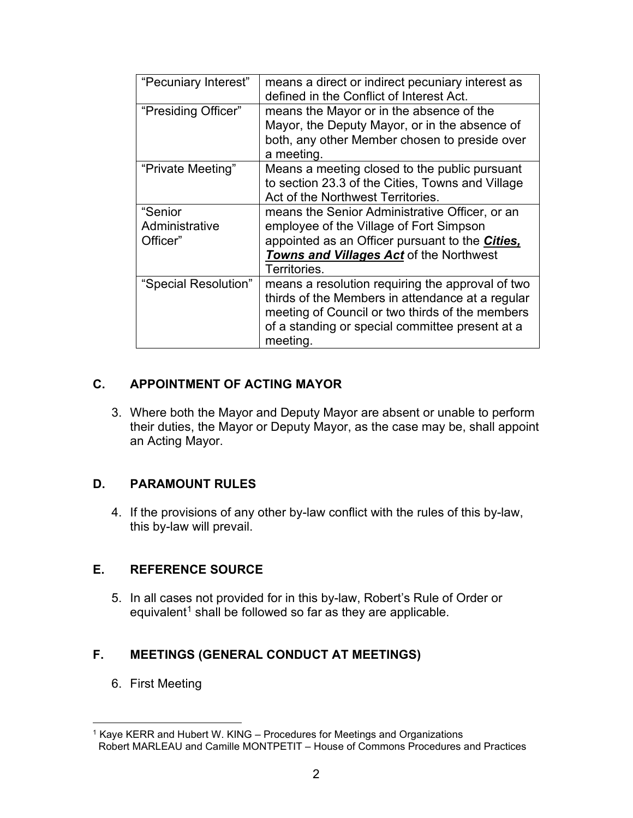| "Pecuniary Interest" | means a direct or indirect pecuniary interest as<br>defined in the Conflict of Interest Act. |
|----------------------|----------------------------------------------------------------------------------------------|
| "Presiding Officer"  | means the Mayor or in the absence of the                                                     |
|                      | Mayor, the Deputy Mayor, or in the absence of                                                |
|                      | both, any other Member chosen to preside over<br>a meeting.                                  |
| "Private Meeting"    | Means a meeting closed to the public pursuant                                                |
|                      | to section 23.3 of the Cities, Towns and Village                                             |
|                      | Act of the Northwest Territories.                                                            |
| "Senior              | means the Senior Administrative Officer, or an                                               |
| Administrative       | employee of the Village of Fort Simpson                                                      |
| Officer"             | appointed as an Officer pursuant to the Cities,                                              |
|                      | Towns and Villages Act of the Northwest                                                      |
|                      | Territories.                                                                                 |
| "Special Resolution" | means a resolution requiring the approval of two                                             |
|                      | thirds of the Members in attendance at a regular                                             |
|                      | meeting of Council or two thirds of the members                                              |
|                      | of a standing or special committee present at a                                              |
|                      | meeting.                                                                                     |

# **C. APPOINTMENT OF ACTING MAYOR**

3. Where both the Mayor and Deputy Mayor are absent or unable to perform their duties, the Mayor or Deputy Mayor, as the case may be, shall appoint an Acting Mayor.

## **D. PARAMOUNT RULES**

4. If the provisions of any other by-law conflict with the rules of this by-law, this by-law will prevail.

# **E. REFERENCE SOURCE**

5. In all cases not provided for in this by-law, Robert's Rule of Order or equivalent<sup>[1](#page-1-0)</sup> shall be followed so far as they are applicable.

# **F. MEETINGS (GENERAL CONDUCT AT MEETINGS)**

6. First Meeting

<span id="page-1-0"></span><sup>&</sup>lt;sup>1</sup> Kaye KERR and Hubert W. KING – Procedures for Meetings and Organizations Robert MARLEAU and Camille MONTPETIT – House of Commons Procedures and Practices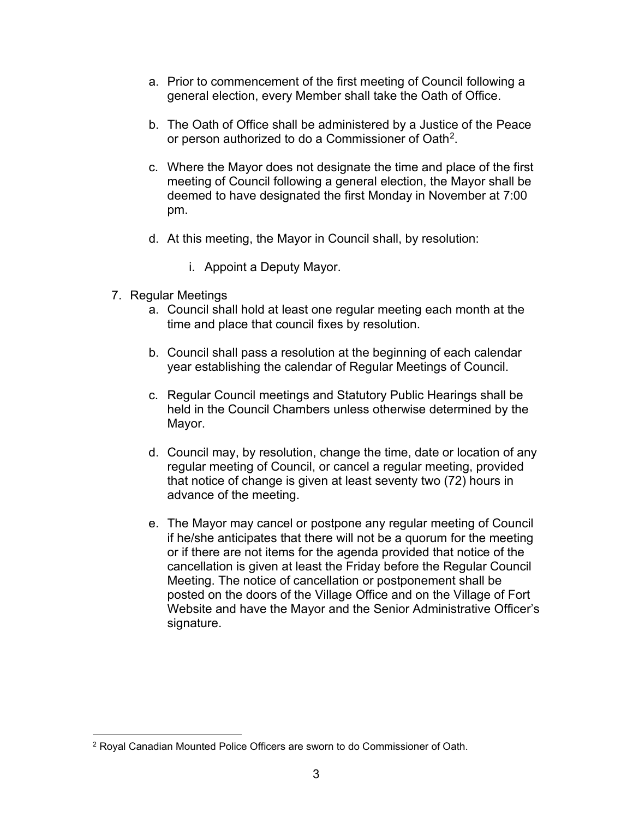- a. Prior to commencement of the first meeting of Council following a general election, every Member shall take the Oath of Office.
- b. The Oath of Office shall be administered by a Justice of the Peace or person authorized to do a Commissioner of Oath[2.](#page-2-0)
- c. Where the Mayor does not designate the time and place of the first meeting of Council following a general election, the Mayor shall be deemed to have designated the first Monday in November at 7:00 pm.
- d. At this meeting, the Mayor in Council shall, by resolution:
	- i. Appoint a Deputy Mayor.
- 7. Regular Meetings
	- a. Council shall hold at least one regular meeting each month at the time and place that council fixes by resolution.
	- b. Council shall pass a resolution at the beginning of each calendar year establishing the calendar of Regular Meetings of Council.
	- c. Regular Council meetings and Statutory Public Hearings shall be held in the Council Chambers unless otherwise determined by the Mayor.
	- d. Council may, by resolution, change the time, date or location of any regular meeting of Council, or cancel a regular meeting, provided that notice of change is given at least seventy two (72) hours in advance of the meeting.
	- e. The Mayor may cancel or postpone any regular meeting of Council if he/she anticipates that there will not be a quorum for the meeting or if there are not items for the agenda provided that notice of the cancellation is given at least the Friday before the Regular Council Meeting. The notice of cancellation or postponement shall be posted on the doors of the Village Office and on the Village of Fort Website and have the Mayor and the Senior Administrative Officer's signature.

<span id="page-2-0"></span><sup>&</sup>lt;sup>2</sup> Royal Canadian Mounted Police Officers are sworn to do Commissioner of Oath.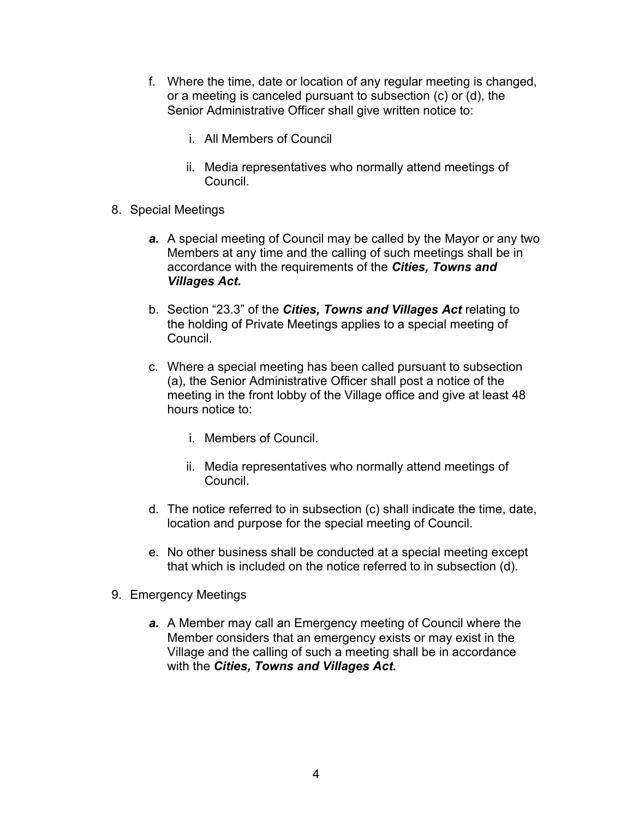- f. Where the time, date or location of any regular meeting is changed, or a meeting is canceled pursuant to subsection (c) or (d), the Senior Administrative Officer shall give written notice to:
	- i. All Members of Council
	- ii. Media representatives who normally attend meetings of Council.
- 8. Special Meetings
	- *a.* A special meeting of Council may be called by the Mayor or any two Members at any time and the calling of such meetings shall be in accordance with the requirements of the *Cities, Towns and Villages Act.*
	- b. Section "23.3" of the *Cities, Towns and Villages Act* relating to the holding of Private Meetings applies to a special meeting of Council.
	- c. Where a special meeting has been called pursuant to subsection (a), the Senior Administrative Officer shall post a notice of the meeting in the front lobby of the Village office and give at least 48 hours notice to:
		- i. Members of Council.
		- ii. Media representatives who normally attend meetings of Council.
	- d. The notice referred to in subsection (c) shall indicate the time, date, location and purpose for the special meeting of Council.
	- e. No other business shall be conducted at a special meeting except that which is included on the notice referred to in subsection (d).
- 9. Emergency Meetings
	- *a.* A Member may call an Emergency meeting of Council where the Member considers that an emergency exists or may exist in the Village and the calling of such a meeting shall be in accordance with the *Cities, Towns and Villages Act.*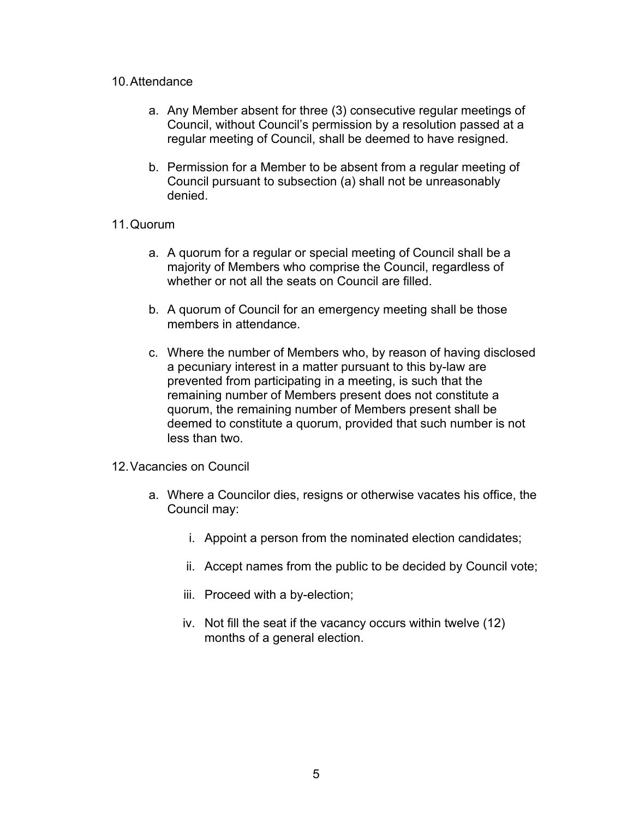## 10.Attendance

- a. Any Member absent for three (3) consecutive regular meetings of Council, without Council's permission by a resolution passed at a regular meeting of Council, shall be deemed to have resigned.
- b. Permission for a Member to be absent from a regular meeting of Council pursuant to subsection (a) shall not be unreasonably denied.

## 11.Quorum

- a. A quorum for a regular or special meeting of Council shall be a majority of Members who comprise the Council, regardless of whether or not all the seats on Council are filled.
- b. A quorum of Council for an emergency meeting shall be those members in attendance.
- c. Where the number of Members who, by reason of having disclosed a pecuniary interest in a matter pursuant to this by-law are prevented from participating in a meeting, is such that the remaining number of Members present does not constitute a quorum, the remaining number of Members present shall be deemed to constitute a quorum, provided that such number is not less than two.
- 12.Vacancies on Council
	- a. Where a Councilor dies, resigns or otherwise vacates his office, the Council may:
		- i. Appoint a person from the nominated election candidates;
		- ii. Accept names from the public to be decided by Council vote;
		- iii. Proceed with a by-election;
		- iv. Not fill the seat if the vacancy occurs within twelve (12) months of a general election.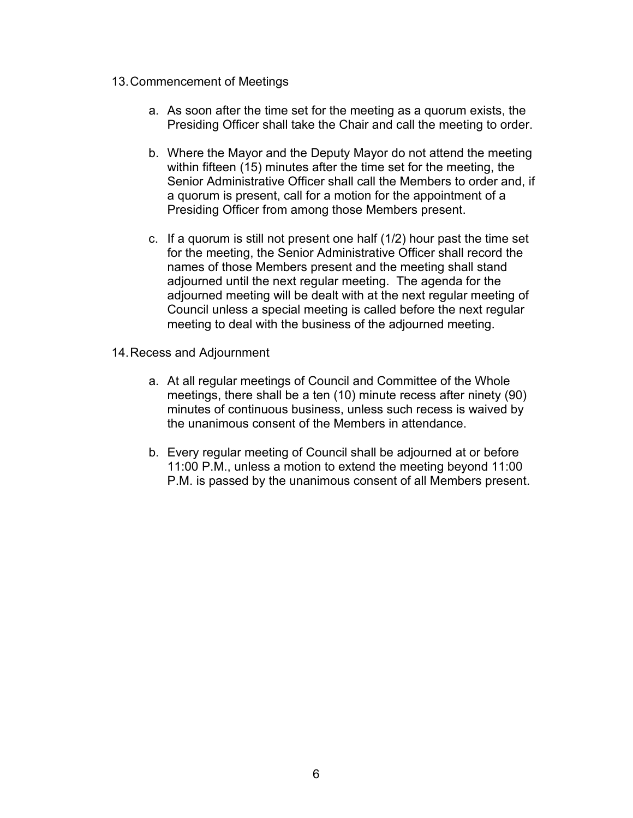## 13.Commencement of Meetings

- a. As soon after the time set for the meeting as a quorum exists, the Presiding Officer shall take the Chair and call the meeting to order.
- b. Where the Mayor and the Deputy Mayor do not attend the meeting within fifteen (15) minutes after the time set for the meeting, the Senior Administrative Officer shall call the Members to order and, if a quorum is present, call for a motion for the appointment of a Presiding Officer from among those Members present.
- c. If a quorum is still not present one half (1/2) hour past the time set for the meeting, the Senior Administrative Officer shall record the names of those Members present and the meeting shall stand adjourned until the next regular meeting. The agenda for the adjourned meeting will be dealt with at the next regular meeting of Council unless a special meeting is called before the next regular meeting to deal with the business of the adjourned meeting.
- 14.Recess and Adjournment
	- a. At all regular meetings of Council and Committee of the Whole meetings, there shall be a ten (10) minute recess after ninety (90) minutes of continuous business, unless such recess is waived by the unanimous consent of the Members in attendance.
	- b. Every regular meeting of Council shall be adjourned at or before 11:00 P.M., unless a motion to extend the meeting beyond 11:00 P.M. is passed by the unanimous consent of all Members present.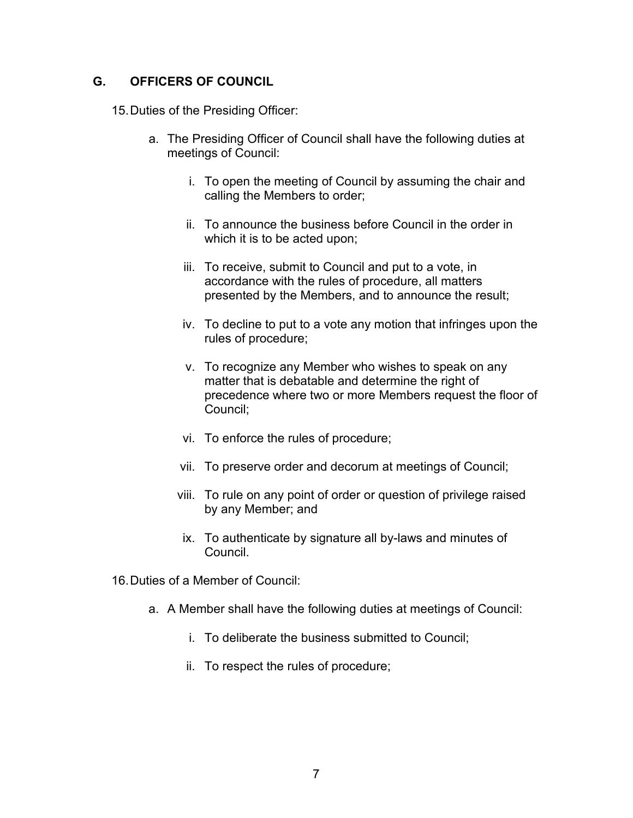## **G. OFFICERS OF COUNCIL**

15.Duties of the Presiding Officer:

- a. The Presiding Officer of Council shall have the following duties at meetings of Council:
	- i. To open the meeting of Council by assuming the chair and calling the Members to order;
	- ii. To announce the business before Council in the order in which it is to be acted upon;
	- iii. To receive, submit to Council and put to a vote, in accordance with the rules of procedure, all matters presented by the Members, and to announce the result;
	- iv. To decline to put to a vote any motion that infringes upon the rules of procedure;
	- v. To recognize any Member who wishes to speak on any matter that is debatable and determine the right of precedence where two or more Members request the floor of Council;
	- vi. To enforce the rules of procedure;
	- vii. To preserve order and decorum at meetings of Council;
	- viii. To rule on any point of order or question of privilege raised by any Member; and
	- ix. To authenticate by signature all by-laws and minutes of Council.
- 16.Duties of a Member of Council:
	- a. A Member shall have the following duties at meetings of Council:
		- i. To deliberate the business submitted to Council;
		- ii. To respect the rules of procedure;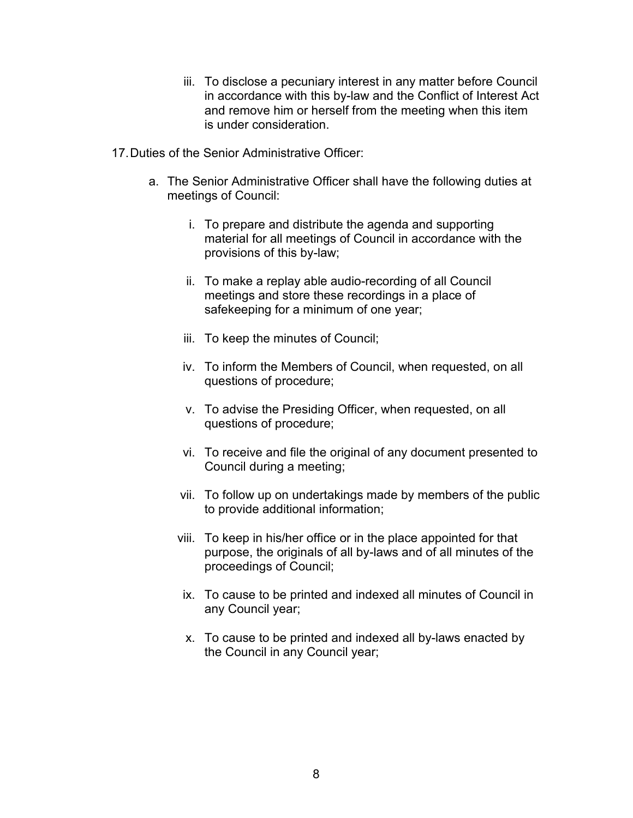- iii. To disclose a pecuniary interest in any matter before Council in accordance with this by-law and the Conflict of Interest Act and remove him or herself from the meeting when this item is under consideration.
- 17.Duties of the Senior Administrative Officer:
	- a. The Senior Administrative Officer shall have the following duties at meetings of Council:
		- i. To prepare and distribute the agenda and supporting material for all meetings of Council in accordance with the provisions of this by-law;
		- ii. To make a replay able audio-recording of all Council meetings and store these recordings in a place of safekeeping for a minimum of one year;
		- iii. To keep the minutes of Council;
		- iv. To inform the Members of Council, when requested, on all questions of procedure;
		- v. To advise the Presiding Officer, when requested, on all questions of procedure;
		- vi. To receive and file the original of any document presented to Council during a meeting;
		- vii. To follow up on undertakings made by members of the public to provide additional information;
		- viii. To keep in his/her office or in the place appointed for that purpose, the originals of all by-laws and of all minutes of the proceedings of Council;
		- ix. To cause to be printed and indexed all minutes of Council in any Council year;
		- x. To cause to be printed and indexed all by-laws enacted by the Council in any Council year;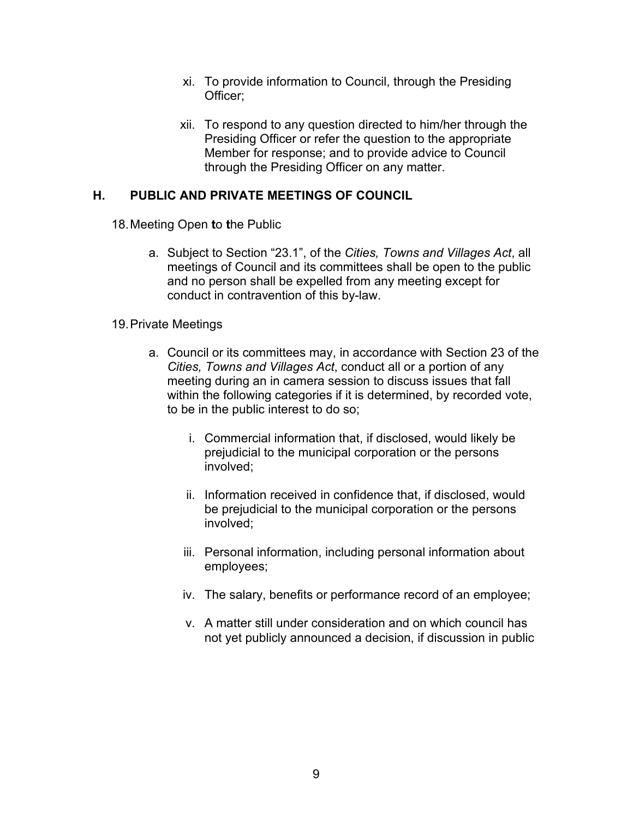- xi. To provide information to Council, through the Presiding Officer;
- xii. To respond to any question directed to him/her through the Presiding Officer or refer the question to the appropriate Member for response; and to provide advice to Council through the Presiding Officer on any matter.

## **H. PUBLIC AND PRIVATE MEETINGS OF COUNCIL**

- 18.Meeting Open **t**o **t**he Public
	- a. Subject to Section "23.1", of the *Cities, Towns and Villages Act*, all meetings of Council and its committees shall be open to the public and no person shall be expelled from any meeting except for conduct in contravention of this by-law.

## 19.Private Meetings

- a. Council or its committees may, in accordance with Section 23 of the *Cities, Towns and Villages Act*, conduct all or a portion of any meeting during an in camera session to discuss issues that fall within the following categories if it is determined, by recorded vote, to be in the public interest to do so;
	- i. Commercial information that, if disclosed, would likely be prejudicial to the municipal corporation or the persons involved;
	- ii. Information received in confidence that, if disclosed, would be prejudicial to the municipal corporation or the persons involved;
	- iii. Personal information, including personal information about employees;
	- iv. The salary, benefits or performance record of an employee;
	- v. A matter still under consideration and on which council has not yet publicly announced a decision, if discussion in public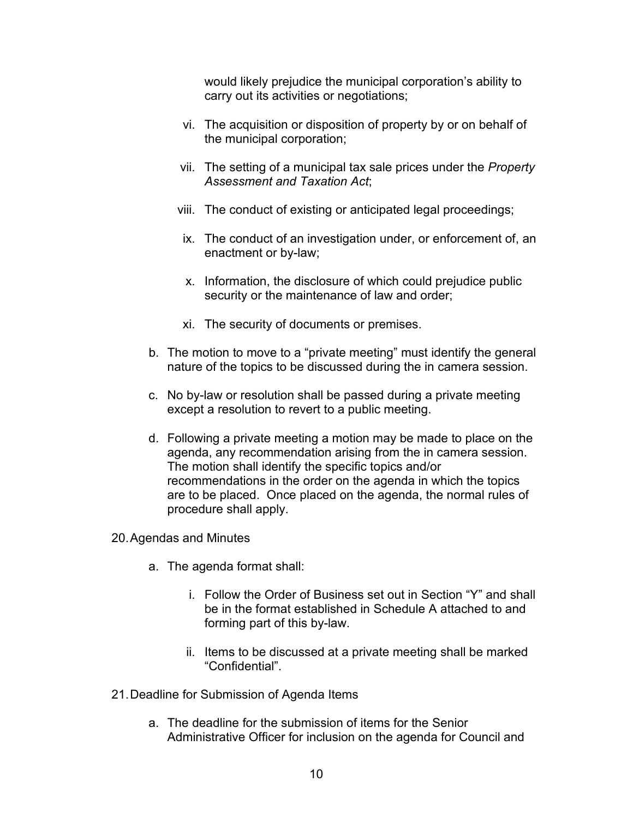would likely prejudice the municipal corporation's ability to carry out its activities or negotiations;

- vi. The acquisition or disposition of property by or on behalf of the municipal corporation;
- vii. The setting of a municipal tax sale prices under the *Property Assessment and Taxation Act*;
- viii. The conduct of existing or anticipated legal proceedings;
- ix. The conduct of an investigation under, or enforcement of, an enactment or by-law;
- x. Information, the disclosure of which could prejudice public security or the maintenance of law and order;
- xi. The security of documents or premises.
- b. The motion to move to a "private meeting" must identify the general nature of the topics to be discussed during the in camera session.
- c. No by-law or resolution shall be passed during a private meeting except a resolution to revert to a public meeting.
- d. Following a private meeting a motion may be made to place on the agenda, any recommendation arising from the in camera session. The motion shall identify the specific topics and/or recommendations in the order on the agenda in which the topics are to be placed. Once placed on the agenda, the normal rules of procedure shall apply.
- 20.Agendas and Minutes
	- a. The agenda format shall:
		- i. Follow the Order of Business set out in Section "Y" and shall be in the format established in Schedule A attached to and forming part of this by-law.
		- ii. Items to be discussed at a private meeting shall be marked "Confidential".
- 21.Deadline for Submission of Agenda Items
	- a. The deadline for the submission of items for the Senior Administrative Officer for inclusion on the agenda for Council and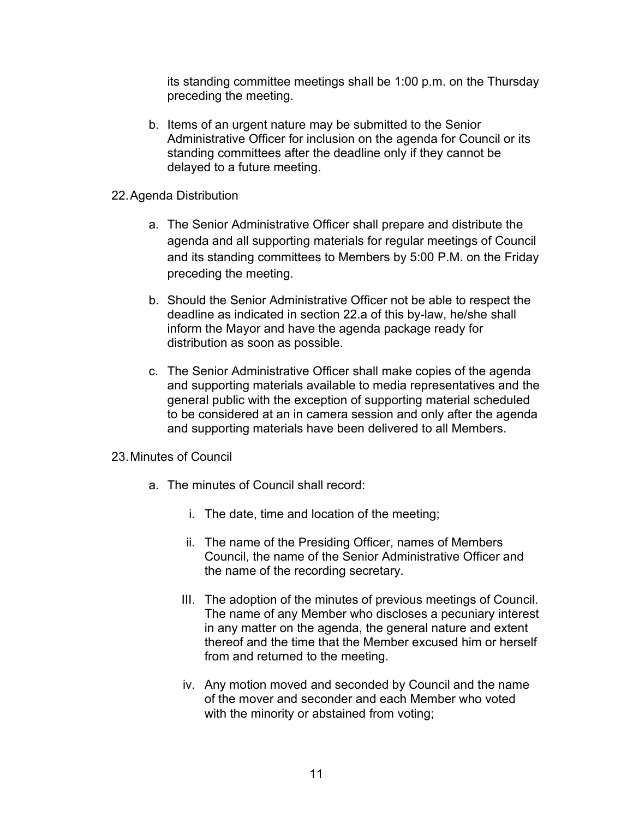its standing committee meetings shall be 1:00 p.m. on the Thursday preceding the meeting.

- b. Items of an urgent nature may be submitted to the Senior Administrative Officer for inclusion on the agenda for Council or its standing committees after the deadline only if they cannot be delayed to a future meeting.
- 22.Agenda Distribution
	- a. The Senior Administrative Officer shall prepare and distribute the agenda and all supporting materials for regular meetings of Council and its standing committees to Members by 5:00 P.M. on the Friday preceding the meeting.
	- b. Should the Senior Administrative Officer not be able to respect the deadline as indicated in section 22.a of this by-law, he/she shall inform the Mayor and have the agenda package ready for distribution as soon as possible.
	- c. The Senior Administrative Officer shall make copies of the agenda and supporting materials available to media representatives and the general public with the exception of supporting material scheduled to be considered at an in camera session and only after the agenda and supporting materials have been delivered to all Members.
- 23.Minutes of Council
	- a. The minutes of Council shall record:
		- i. The date, time and location of the meeting;
		- ii. The name of the Presiding Officer, names of Members Council, the name of the Senior Administrative Officer and the name of the recording secretary.
		- III. The adoption of the minutes of previous meetings of Council. The name of any Member who discloses a pecuniary interest in any matter on the agenda, the general nature and extent thereof and the time that the Member excused him or herself from and returned to the meeting.
		- iv. Any motion moved and seconded by Council and the name of the mover and seconder and each Member who voted with the minority or abstained from voting;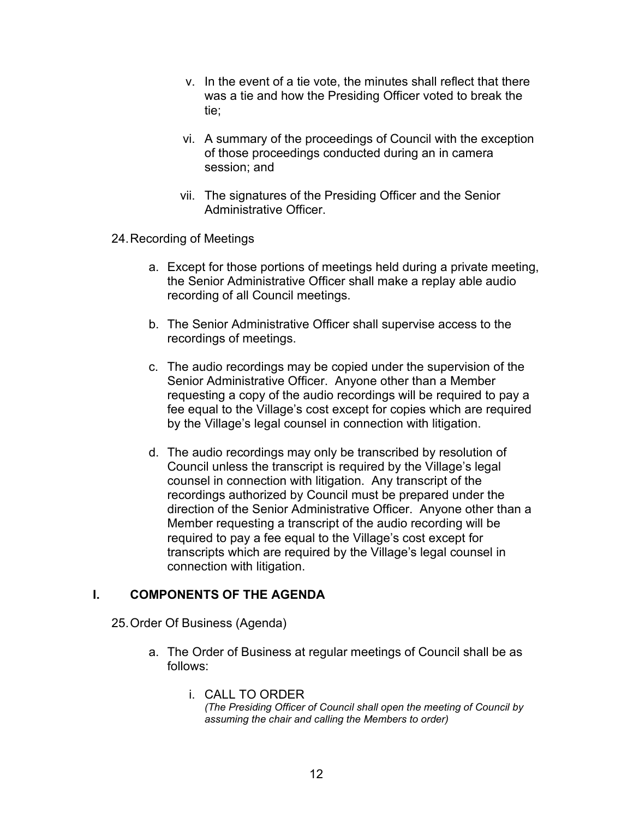- v. In the event of a tie vote, the minutes shall reflect that there was a tie and how the Presiding Officer voted to break the tie;
- vi. A summary of the proceedings of Council with the exception of those proceedings conducted during an in camera session; and
- vii. The signatures of the Presiding Officer and the Senior Administrative Officer.
- 24.Recording of Meetings
	- a. Except for those portions of meetings held during a private meeting, the Senior Administrative Officer shall make a replay able audio recording of all Council meetings.
	- b. The Senior Administrative Officer shall supervise access to the recordings of meetings.
	- c. The audio recordings may be copied under the supervision of the Senior Administrative Officer. Anyone other than a Member requesting a copy of the audio recordings will be required to pay a fee equal to the Village's cost except for copies which are required by the Village's legal counsel in connection with litigation.
	- d. The audio recordings may only be transcribed by resolution of Council unless the transcript is required by the Village's legal counsel in connection with litigation. Any transcript of the recordings authorized by Council must be prepared under the direction of the Senior Administrative Officer. Anyone other than a Member requesting a transcript of the audio recording will be required to pay a fee equal to the Village's cost except for transcripts which are required by the Village's legal counsel in connection with litigation.

## **I. COMPONENTS OF THE AGENDA**

- 25.Order Of Business (Agenda)
	- a. The Order of Business at regular meetings of Council shall be as follows:
		- i. CALL TO ORDER *(The Presiding Officer of Council shall open the meeting of Council by assuming the chair and calling the Members to order)*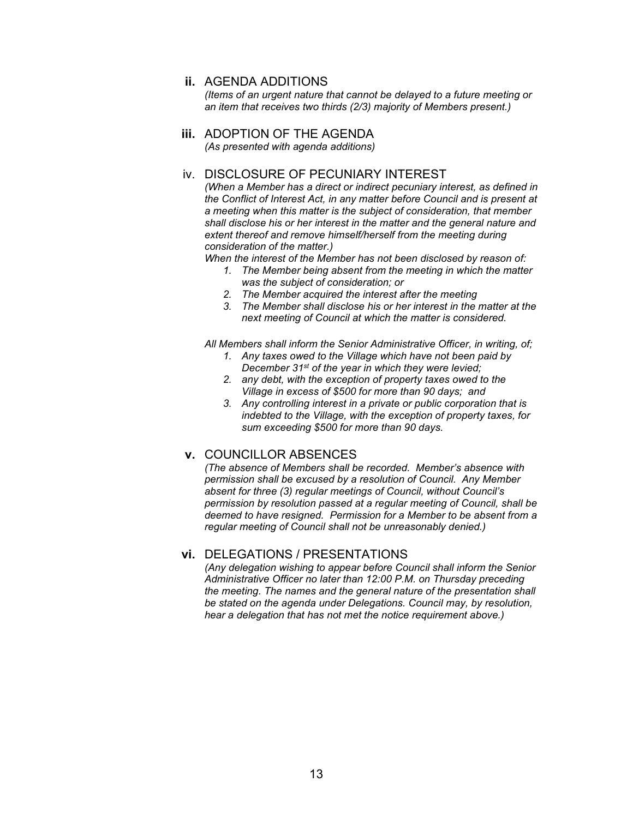### **ii.** AGENDA ADDITIONS

*(Items of an urgent nature that cannot be delayed to a future meeting or an item that receives two thirds (2/3) majority of Members present.)*

# **iii.** ADOPTION OF THE AGENDA

*(As presented with agenda additions)*

## iv. DISCLOSURE OF PECUNIARY INTEREST

*(When a Member has a direct or indirect pecuniary interest, as defined in the Conflict of Interest Act, in any matter before Council and is present at a meeting when this matter is the subject of consideration, that member shall disclose his or her interest in the matter and the general nature and extent thereof and remove himself/herself from the meeting during consideration of the matter.)*

*When the interest of the Member has not been disclosed by reason of:*

- *1. The Member being absent from the meeting in which the matter was the subject of consideration; or*
- *2. The Member acquired the interest after the meeting*
- *3. The Member shall disclose his or her interest in the matter at the next meeting of Council at which the matter is considered.*

*All Members shall inform the Senior Administrative Officer, in writing, of;*

- *1. Any taxes owed to the Village which have not been paid by December 31st of the year in which they were levied;*
- *2. any debt, with the exception of property taxes owed to the Village in excess of \$500 for more than 90 days; and*
- *3. Any controlling interest in a private or public corporation that is indebted to the Village, with the exception of property taxes, for sum exceeding \$500 for more than 90 days.*

## **v.** COUNCILLOR ABSENCES

*(The absence of Members shall be recorded. Member's absence with permission shall be excused by a resolution of Council. Any Member absent for three (3) regular meetings of Council, without Council's permission by resolution passed at a regular meeting of Council, shall be deemed to have resigned. Permission for a Member to be absent from a regular meeting of Council shall not be unreasonably denied.)*

## **vi.** DELEGATIONS / PRESENTATIONS

*(Any delegation wishing to appear before Council shall inform the Senior Administrative Officer no later than 12:00 P.M. on Thursday preceding the meeting. The names and the general nature of the presentation shall be stated on the agenda under Delegations. Council may, by resolution, hear a delegation that has not met the notice requirement above.)*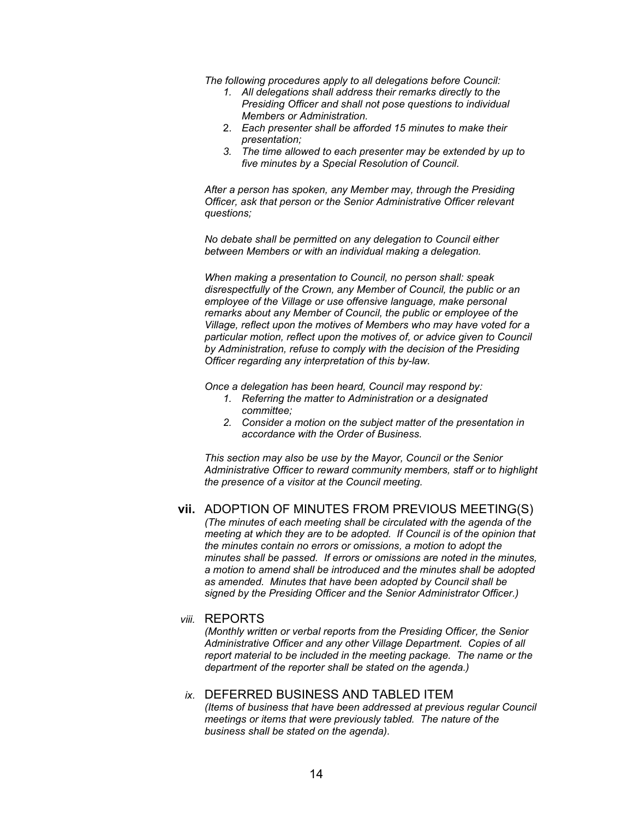*The following procedures apply to all delegations before Council:*

- *1. All delegations shall address their remarks directly to the Presiding Officer and shall not pose questions to individual Members or Administration.*
- 2. *Each presenter shall be afforded 15 minutes to make their presentation;*
- *3. The time allowed to each presenter may be extended by up to five minutes by a Special Resolution of Council.*

*After a person has spoken, any Member may, through the Presiding Officer, ask that person or the Senior Administrative Officer relevant questions;*

*No debate shall be permitted on any delegation to Council either between Members or with an individual making a delegation.*

*When making a presentation to Council, no person shall: speak disrespectfully of the Crown, any Member of Council, the public or an employee of the Village or use offensive language, make personal remarks about any Member of Council, the public or employee of the Village, reflect upon the motives of Members who may have voted for a particular motion, reflect upon the motives of, or advice given to Council by Administration, refuse to comply with the decision of the Presiding Officer regarding any interpretation of this by-law.*

*Once a delegation has been heard, Council may respond by:*

- *1. Referring the matter to Administration or a designated committee;*
- *2. Consider a motion on the subject matter of the presentation in accordance with the Order of Business.*

*This section may also be use by the Mayor, Council or the Senior Administrative Officer to reward community members, staff or to highlight the presence of a visitor at the Council meeting.*

#### **vii.** ADOPTION OF MINUTES FROM PREVIOUS MEETING(S)

*(The minutes of each meeting shall be circulated with the agenda of the meeting at which they are to be adopted. If Council is of the opinion that the minutes contain no errors or omissions, a motion to adopt the minutes shall be passed. If errors or omissions are noted in the minutes, a motion to amend shall be introduced and the minutes shall be adopted as amended. Minutes that have been adopted by Council shall be signed by the Presiding Officer and the Senior Administrator Officer.)*

#### *viii.* REPORTS

*(Monthly written or verbal reports from the Presiding Officer, the Senior Administrative Officer and any other Village Department. Copies of all report material to be included in the meeting package. The name or the department of the reporter shall be stated on the agenda.)*

### *ix.* DEFERRED BUSINESS AND TABLED ITEM

*(Items of business that have been addressed at previous regular Council meetings or items that were previously tabled. The nature of the business shall be stated on the agenda).*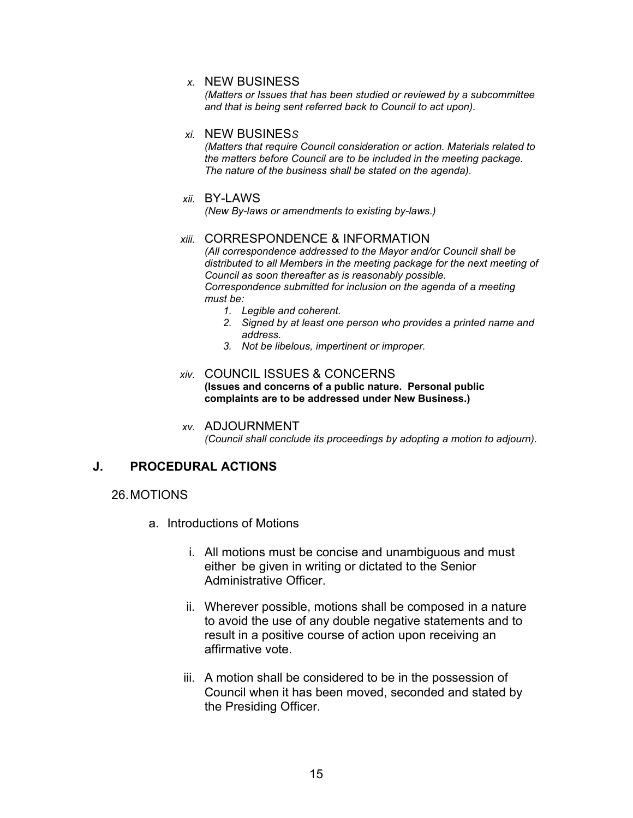### *x.* NEW BUSINESS

*(Matters or Issues that has been studied or reviewed by a subcommittee and that is being sent referred back to Council to act upon).*

### *xi.* NEW BUSINES*S*

*(Matters that require Council consideration or action. Materials related to the matters before Council are to be included in the meeting package. The nature of the business shall be stated on the agenda).*

### *xii.* BY-LAWS

*(New By-laws or amendments to existing by-laws.)*

### *xiii.* CORRESPONDENCE & INFORMATION

*(All correspondence addressed to the Mayor and/or Council shall be distributed to all Members in the meeting package for the next meeting of Council as soon thereafter as is reasonably possible. Correspondence submitted for inclusion on the agenda of a meeting must be:*

- *1. Legible and coherent.*
- *2. Signed by at least one person who provides a printed name and address.*
- *3. Not be libelous, impertinent or improper.*

### *xiv.* COUNCIL ISSUES & CONCERNS **(Issues and concerns of a public nature. Personal public complaints are to be addressed under New Business.)**

*xv.* ADJOURNMENT *(Council shall conclude its proceedings by adopting a motion to adjourn).*

## **J. PROCEDURAL ACTIONS**

## 26.MOTIONS

- a. Introductions of Motions
	- i. All motions must be concise and unambiguous and must either be given in writing or dictated to the Senior Administrative Officer.
	- ii. Wherever possible, motions shall be composed in a nature to avoid the use of any double negative statements and to result in a positive course of action upon receiving an affirmative vote.
	- iii. A motion shall be considered to be in the possession of Council when it has been moved, seconded and stated by the Presiding Officer.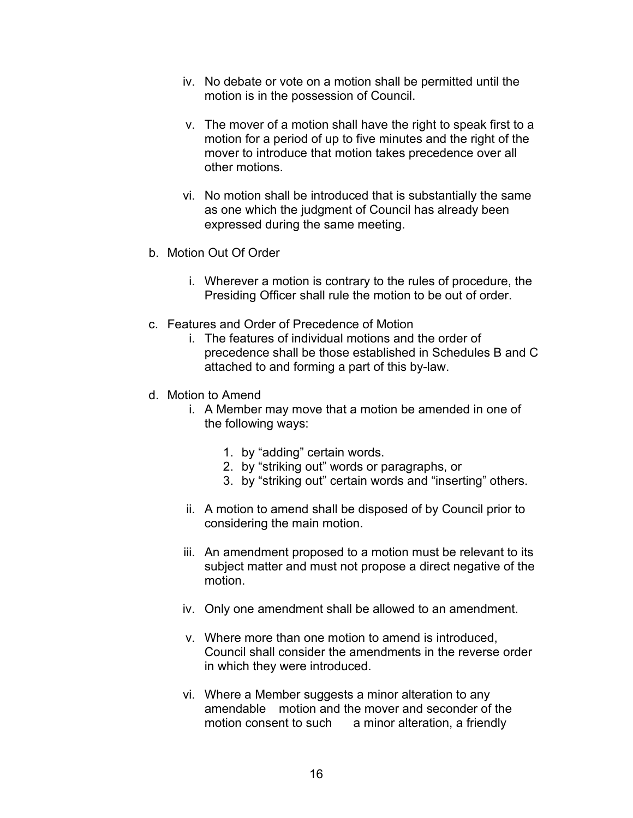- iv. No debate or vote on a motion shall be permitted until the motion is in the possession of Council.
- v. The mover of a motion shall have the right to speak first to a motion for a period of up to five minutes and the right of the mover to introduce that motion takes precedence over all other motions.
- vi. No motion shall be introduced that is substantially the same as one which the judgment of Council has already been expressed during the same meeting.
- b. Motion Out Of Order
	- i. Wherever a motion is contrary to the rules of procedure, the Presiding Officer shall rule the motion to be out of order.
- c. Features and Order of Precedence of Motion
	- i. The features of individual motions and the order of precedence shall be those established in Schedules B and C attached to and forming a part of this by-law.
- d. Motion to Amend
	- i. A Member may move that a motion be amended in one of the following ways:
		- 1. by "adding" certain words.
		- 2. by "striking out" words or paragraphs, or
		- 3. by "striking out" certain words and "inserting" others.
	- ii. A motion to amend shall be disposed of by Council prior to considering the main motion.
	- iii. An amendment proposed to a motion must be relevant to its subject matter and must not propose a direct negative of the motion.
	- iv. Only one amendment shall be allowed to an amendment.
	- v. Where more than one motion to amend is introduced, Council shall consider the amendments in the reverse order in which they were introduced.
	- vi. Where a Member suggests a minor alteration to any amendable motion and the mover and seconder of the motion consent to such a minor alteration, a friendly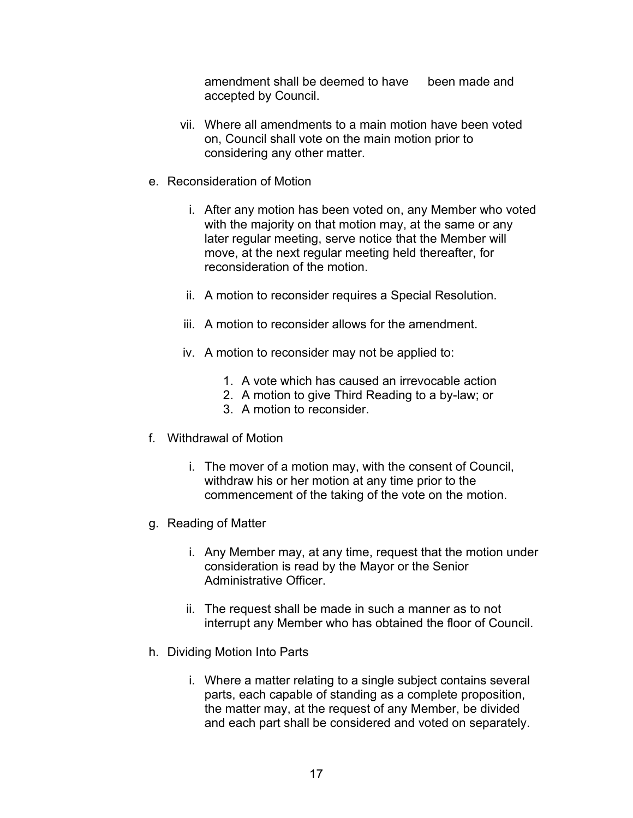amendment shall be deemed to have been made and accepted by Council.

- vii. Where all amendments to a main motion have been voted on, Council shall vote on the main motion prior to considering any other matter.
- e. Reconsideration of Motion
	- i. After any motion has been voted on, any Member who voted with the majority on that motion may, at the same or any later regular meeting, serve notice that the Member will move, at the next regular meeting held thereafter, for reconsideration of the motion.
	- ii. A motion to reconsider requires a Special Resolution.
	- iii. A motion to reconsider allows for the amendment.
	- iv. A motion to reconsider may not be applied to:
		- 1. A vote which has caused an irrevocable action
		- 2. A motion to give Third Reading to a by-law; or
		- 3. A motion to reconsider.
- f. Withdrawal of Motion
	- i. The mover of a motion may, with the consent of Council, withdraw his or her motion at any time prior to the commencement of the taking of the vote on the motion.
- g. Reading of Matter
	- i. Any Member may, at any time, request that the motion under consideration is read by the Mayor or the Senior Administrative Officer.
	- ii. The request shall be made in such a manner as to not interrupt any Member who has obtained the floor of Council.
- h. Dividing Motion Into Parts
	- i. Where a matter relating to a single subject contains several parts, each capable of standing as a complete proposition, the matter may, at the request of any Member, be divided and each part shall be considered and voted on separately.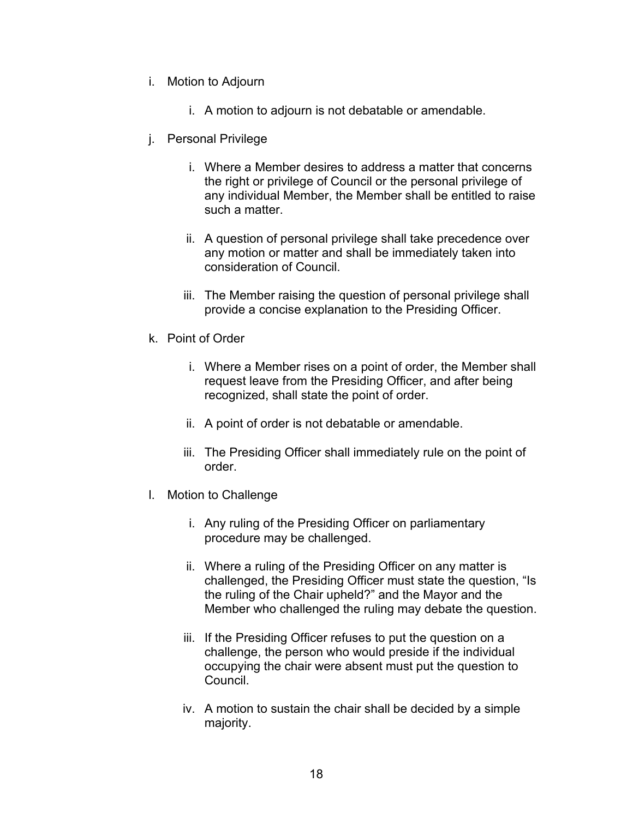- i. Motion to Adjourn
	- i. A motion to adjourn is not debatable or amendable.
- j. Personal Privilege
	- i. Where a Member desires to address a matter that concerns the right or privilege of Council or the personal privilege of any individual Member, the Member shall be entitled to raise such a matter.
	- ii. A question of personal privilege shall take precedence over any motion or matter and shall be immediately taken into consideration of Council.
	- iii. The Member raising the question of personal privilege shall provide a concise explanation to the Presiding Officer.
- k. Point of Order
	- i. Where a Member rises on a point of order, the Member shall request leave from the Presiding Officer, and after being recognized, shall state the point of order.
	- ii. A point of order is not debatable or amendable.
	- iii. The Presiding Officer shall immediately rule on the point of order.
- l. Motion to Challenge
	- i. Any ruling of the Presiding Officer on parliamentary procedure may be challenged.
	- ii. Where a ruling of the Presiding Officer on any matter is challenged, the Presiding Officer must state the question, "Is the ruling of the Chair upheld?" and the Mayor and the Member who challenged the ruling may debate the question.
	- iii. If the Presiding Officer refuses to put the question on a challenge, the person who would preside if the individual occupying the chair were absent must put the question to Council.
	- iv. A motion to sustain the chair shall be decided by a simple majority.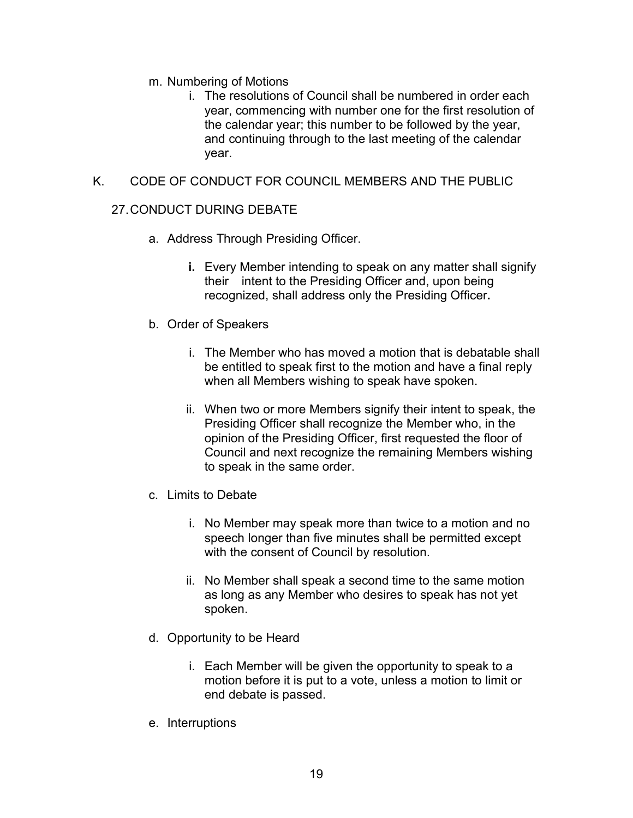- m. Numbering of Motions
	- i. The resolutions of Council shall be numbered in order each year, commencing with number one for the first resolution of the calendar year; this number to be followed by the year, and continuing through to the last meeting of the calendar year.

## K. CODE OF CONDUCT FOR COUNCIL MEMBERS AND THE PUBLIC

## 27.CONDUCT DURING DEBATE

- a. Address Through Presiding Officer.
	- **i.** Every Member intending to speak on any matter shall signify their intent to the Presiding Officer and, upon being recognized, shall address only the Presiding Officer**.**
- b. Order of Speakers
	- i. The Member who has moved a motion that is debatable shall be entitled to speak first to the motion and have a final reply when all Members wishing to speak have spoken.
	- ii. When two or more Members signify their intent to speak, the Presiding Officer shall recognize the Member who, in the opinion of the Presiding Officer, first requested the floor of Council and next recognize the remaining Members wishing to speak in the same order.
- c. Limits to Debate
	- i. No Member may speak more than twice to a motion and no speech longer than five minutes shall be permitted except with the consent of Council by resolution.
	- ii. No Member shall speak a second time to the same motion as long as any Member who desires to speak has not yet spoken.
- d. Opportunity to be Heard
	- i. Each Member will be given the opportunity to speak to a motion before it is put to a vote, unless a motion to limit or end debate is passed.
- e. Interruptions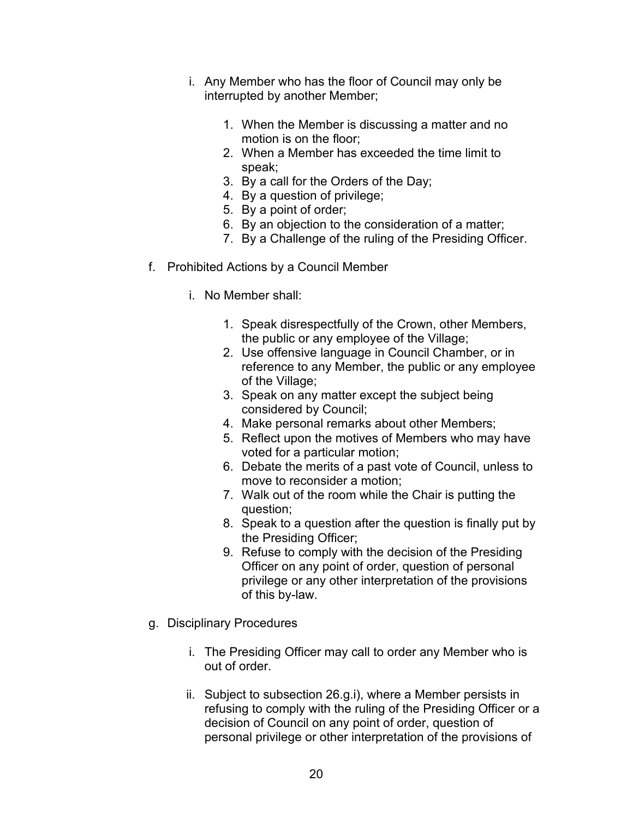- i. Any Member who has the floor of Council may only be interrupted by another Member;
	- 1. When the Member is discussing a matter and no motion is on the floor;
	- 2. When a Member has exceeded the time limit to speak;
	- 3. By a call for the Orders of the Day;
	- 4. By a question of privilege;
	- 5. By a point of order;
	- 6. By an objection to the consideration of a matter;
	- 7. By a Challenge of the ruling of the Presiding Officer.
- f. Prohibited Actions by a Council Member
	- i. No Member shall:
		- 1. Speak disrespectfully of the Crown, other Members, the public or any employee of the Village;
		- 2. Use offensive language in Council Chamber, or in reference to any Member, the public or any employee of the Village;
		- 3. Speak on any matter except the subject being considered by Council;
		- 4. Make personal remarks about other Members;
		- 5. Reflect upon the motives of Members who may have voted for a particular motion;
		- 6. Debate the merits of a past vote of Council, unless to move to reconsider a motion;
		- 7. Walk out of the room while the Chair is putting the question;
		- 8. Speak to a question after the question is finally put by the Presiding Officer;
		- 9. Refuse to comply with the decision of the Presiding Officer on any point of order, question of personal privilege or any other interpretation of the provisions of this by-law.
- g. Disciplinary Procedures
	- i. The Presiding Officer may call to order any Member who is out of order.
	- ii. Subject to subsection 26.g.i), where a Member persists in refusing to comply with the ruling of the Presiding Officer or a decision of Council on any point of order, question of personal privilege or other interpretation of the provisions of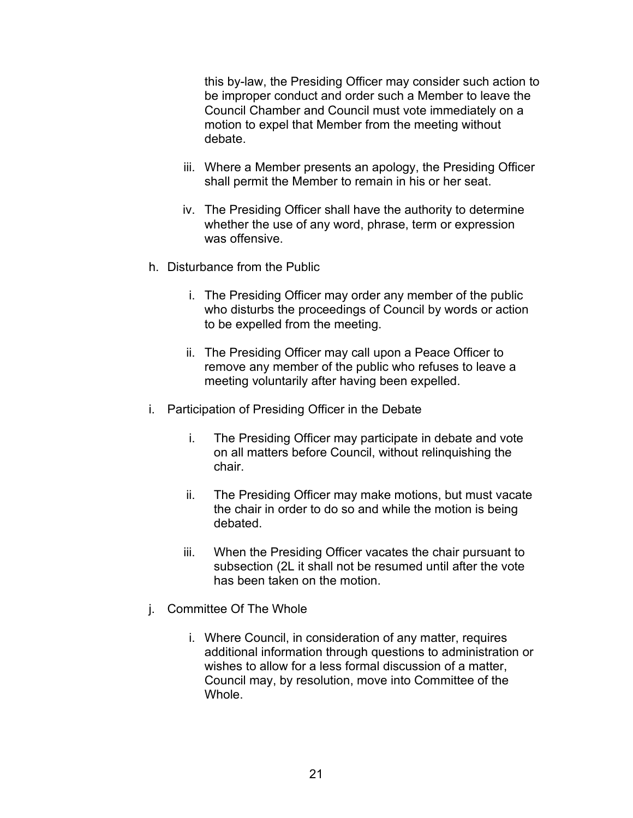this by-law, the Presiding Officer may consider such action to be improper conduct and order such a Member to leave the Council Chamber and Council must vote immediately on a motion to expel that Member from the meeting without debate.

- iii. Where a Member presents an apology, the Presiding Officer shall permit the Member to remain in his or her seat.
- iv. The Presiding Officer shall have the authority to determine whether the use of any word, phrase, term or expression was offensive.
- h. Disturbance from the Public
	- i. The Presiding Officer may order any member of the public who disturbs the proceedings of Council by words or action to be expelled from the meeting.
	- ii. The Presiding Officer may call upon a Peace Officer to remove any member of the public who refuses to leave a meeting voluntarily after having been expelled.
- i. Participation of Presiding Officer in the Debate
	- i. The Presiding Officer may participate in debate and vote on all matters before Council, without relinquishing the chair.
	- ii. The Presiding Officer may make motions, but must vacate the chair in order to do so and while the motion is being debated.
	- iii. When the Presiding Officer vacates the chair pursuant to subsection (2L it shall not be resumed until after the vote has been taken on the motion.
- j. Committee Of The Whole
	- i. Where Council, in consideration of any matter, requires additional information through questions to administration or wishes to allow for a less formal discussion of a matter, Council may, by resolution, move into Committee of the Whole.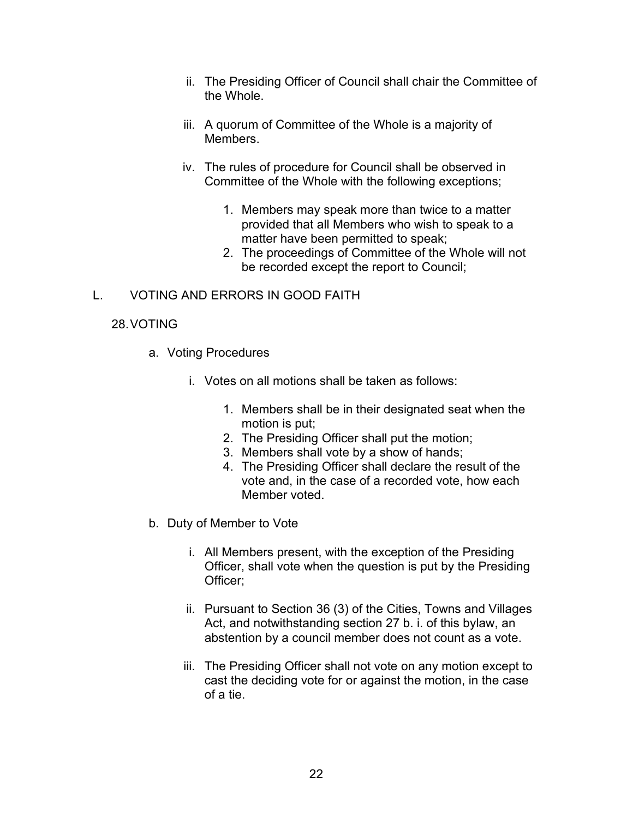- ii. The Presiding Officer of Council shall chair the Committee of the Whole.
- iii. A quorum of Committee of the Whole is a majority of **Members**
- iv. The rules of procedure for Council shall be observed in Committee of the Whole with the following exceptions;
	- 1. Members may speak more than twice to a matter provided that all Members who wish to speak to a matter have been permitted to speak;
	- 2. The proceedings of Committee of the Whole will not be recorded except the report to Council;

## L. VOTING AND ERRORS IN GOOD FAITH

## 28.VOTING

- a. Voting Procedures
	- i. Votes on all motions shall be taken as follows:
		- 1. Members shall be in their designated seat when the motion is put;
		- 2. The Presiding Officer shall put the motion;
		- 3. Members shall vote by a show of hands;
		- 4. The Presiding Officer shall declare the result of the vote and, in the case of a recorded vote, how each Member voted.
- b. Duty of Member to Vote
	- i. All Members present, with the exception of the Presiding Officer, shall vote when the question is put by the Presiding Officer;
	- ii. Pursuant to Section 36 (3) of the Cities, Towns and Villages Act, and notwithstanding section 27 b. i. of this bylaw, an abstention by a council member does not count as a vote.
	- iii. The Presiding Officer shall not vote on any motion except to cast the deciding vote for or against the motion, in the case of a tie.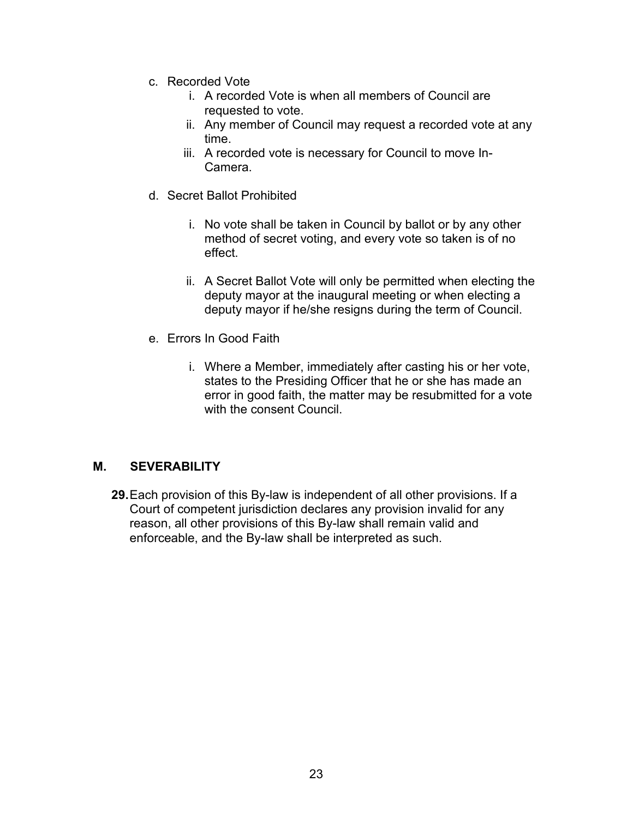- c. Recorded Vote
	- i. A recorded Vote is when all members of Council are requested to vote.
	- ii. Any member of Council may request a recorded vote at any time.
	- iii. A recorded vote is necessary for Council to move In-Camera.
- d. Secret Ballot Prohibited
	- i. No vote shall be taken in Council by ballot or by any other method of secret voting, and every vote so taken is of no effect.
	- ii. A Secret Ballot Vote will only be permitted when electing the deputy mayor at the inaugural meeting or when electing a deputy mayor if he/she resigns during the term of Council.
- e. Errors In Good Faith
	- i. Where a Member, immediately after casting his or her vote, states to the Presiding Officer that he or she has made an error in good faith, the matter may be resubmitted for a vote with the consent Council.

## **M. SEVERABILITY**

**29.**Each provision of this By-law is independent of all other provisions. If a Court of competent jurisdiction declares any provision invalid for any reason, all other provisions of this By-law shall remain valid and enforceable, and the By-law shall be interpreted as such.